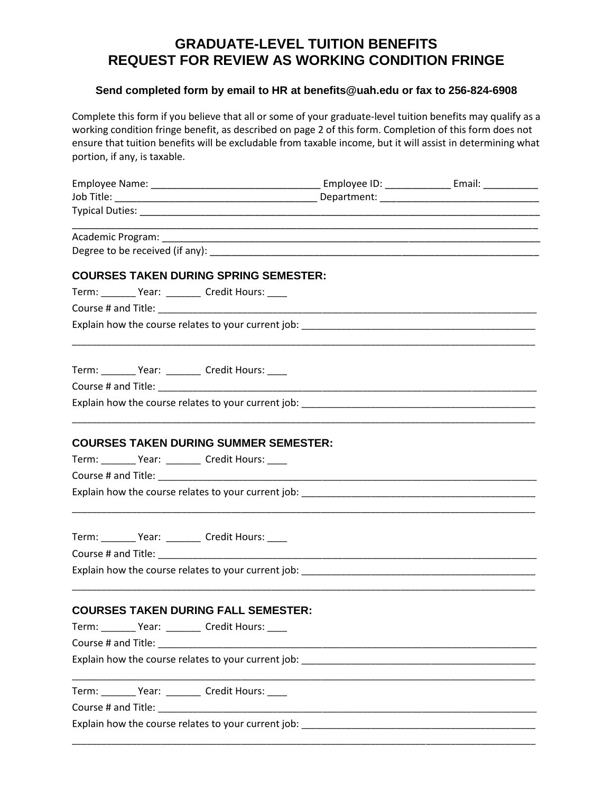# **GRADUATE-LEVEL TUITION BENEFITS REQUEST FOR REVIEW AS WORKING CONDITION FRINGE**

### **Send completed form by email to HR at [benefits@uah.edu](mailto:benefits@uah.edu) or fax to 256-824-6908**

Complete this form if you believe that all or some of your graduate-level tuition benefits may qualify as a working condition fringe benefit, as described on page 2 of this form. Completion of this form does not ensure that tuition benefits will be excludable from taxable income, but it will assist in determining what portion, if any, is taxable.

| <b>COURSES TAKEN DURING SPRING SEMESTER:</b>                                      |  |
|-----------------------------------------------------------------------------------|--|
| Term: _________ Year: _________ Credit Hours: ____                                |  |
|                                                                                   |  |
|                                                                                   |  |
| Term: __________ Year: __________ Credit Hours: _____                             |  |
|                                                                                   |  |
|                                                                                   |  |
| <b>COURSES TAKEN DURING SUMMER SEMESTER:</b>                                      |  |
| Term: _________ Year: _________ Credit Hours: ____                                |  |
|                                                                                   |  |
|                                                                                   |  |
| Term: _________ Year: _________ Credit Hours: _____                               |  |
|                                                                                   |  |
| Explain how the course relates to your current job: _____________________________ |  |
| <b>COURSES TAKEN DURING FALL SEMESTER:</b>                                        |  |
| Term: _________ Year: _________ Credit Hours: _____                               |  |
|                                                                                   |  |
|                                                                                   |  |
| Term: _________ Year: _________ Credit Hours: ____                                |  |
|                                                                                   |  |
| Explain how the course relates to your current job: _____________________________ |  |
|                                                                                   |  |